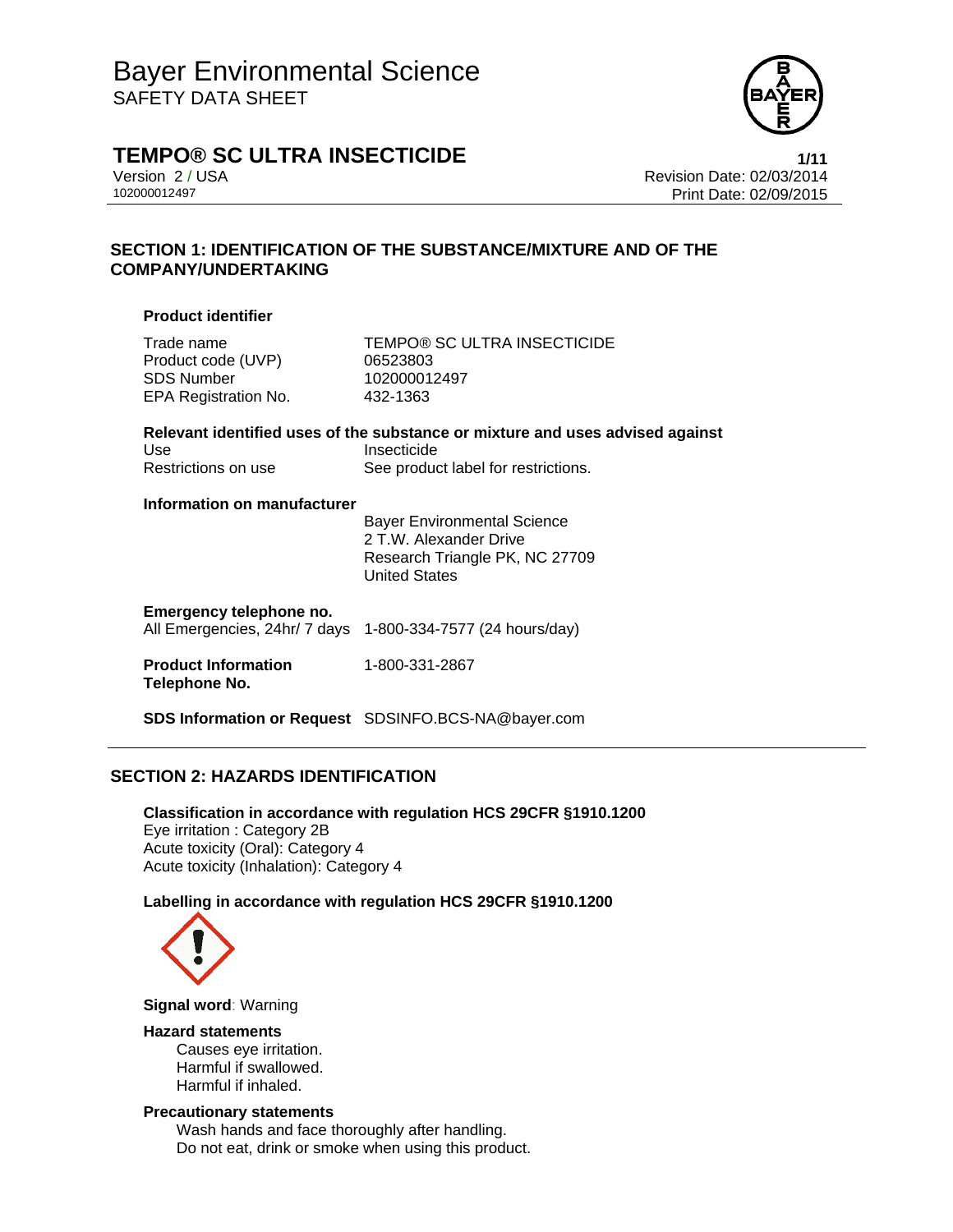

# **TEMPO® SC ULTRA INSECTICIDE 1/11**

Version 2 / USA Revision Date: 02/03/2014 102000012497 Print Date: 02/09/2015

# **SECTION 1: IDENTIFICATION OF THE SUBSTANCE/MIXTURE AND OF THE COMPANY/UNDERTAKING**

# **Product identifier**

Product code (UVP) 06523803 SDS Number 102000012497 EPA Registration No. 432-1363

Trade name TEMPO® SC ULTRA INSECTICIDE

|                     | Relevant identified uses of the substance or mixture and uses advised against |
|---------------------|-------------------------------------------------------------------------------|
| Use                 | Insecticide                                                                   |
| Restrictions on use | See product label for restrictions.                                           |

# **Information on manufacturer**

 Bayer Environmental Science 2 T.W. Alexander Drive Research Triangle PK, NC 27709 United States

# **Emergency telephone no.**

All Emergencies, 24hr/ 7 days 1-800-334-7577 (24 hours/day)

#### **Product Information Telephone No.**  1-800-331-2867

**SDS Information or Request** SDSINFO.BCS-NA@bayer.com

# **SECTION 2: HAZARDS IDENTIFICATION**

**Classification in accordance with regulation HCS 29CFR §1910.1200**  Eye irritation : Category 2B Acute toxicity (Oral): Category 4 Acute toxicity (Inhalation): Category 4

# **Labelling in accordance with regulation HCS 29CFR §1910.1200**



**Signal word**: Warning

### **Hazard statements**

Causes eye irritation. Harmful if swallowed. Harmful if inhaled.

# **Precautionary statements**

Wash hands and face thoroughly after handling. Do not eat, drink or smoke when using this product.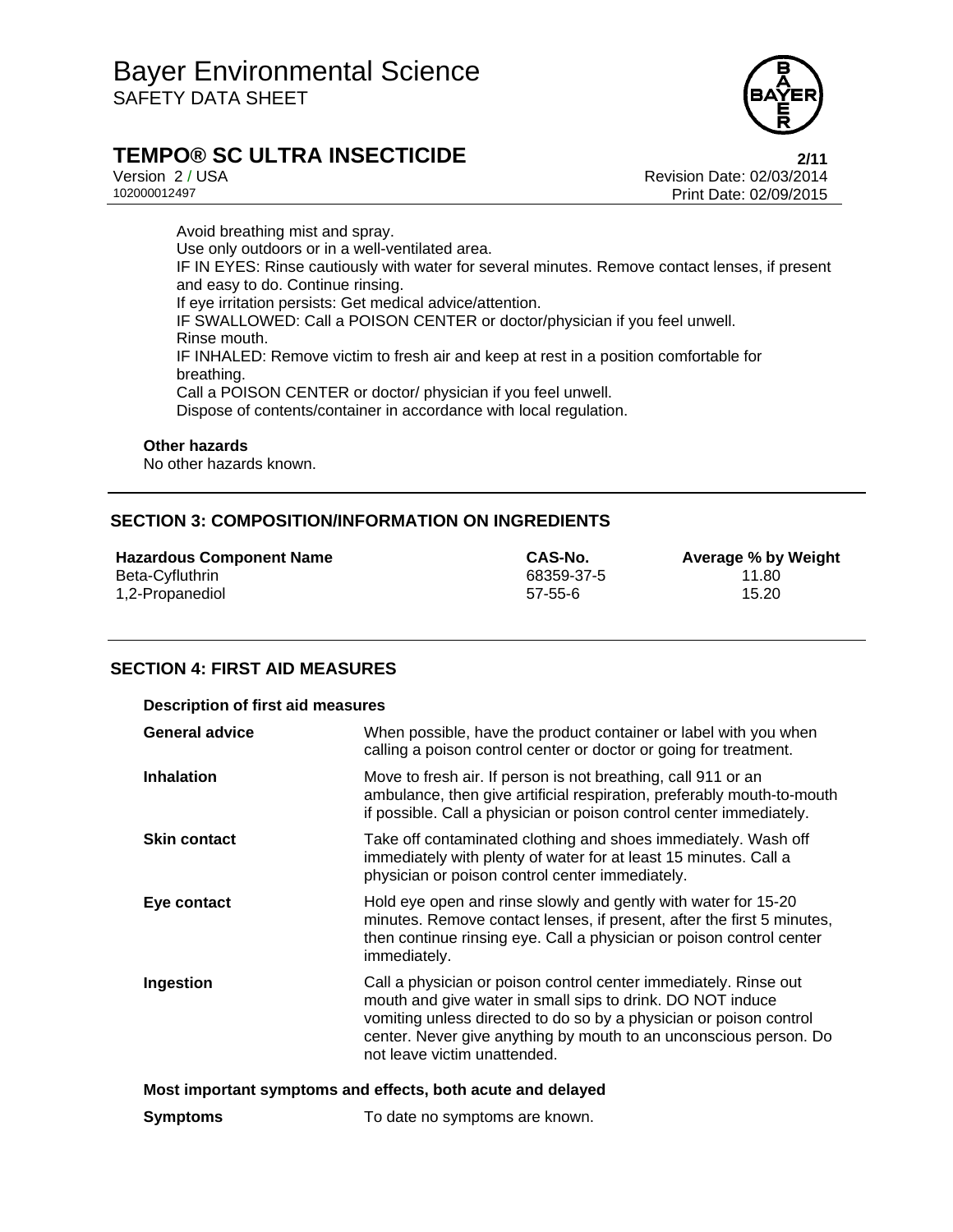

# **TEMPO® SC ULTRA INSECTICIDE 2/11**

Version 2 / USA Revision Date: 02/03/2014 Print Date: 02/09/2015

Avoid breathing mist and spray. Use only outdoors or in a well-ventilated area. IF IN EYES: Rinse cautiously with water for several minutes. Remove contact lenses, if present and easy to do. Continue rinsing. If eye irritation persists: Get medical advice/attention. IF SWALLOWED: Call a POISON CENTER or doctor/physician if you feel unwell. Rinse mouth. IF INHALED: Remove victim to fresh air and keep at rest in a position comfortable for breathing. Call a POISON CENTER or doctor/ physician if you feel unwell. Dispose of contents/container in accordance with local regulation.

#### **Other hazards**

No other hazards known.

# **SECTION 3: COMPOSITION/INFORMATION ON INGREDIENTS**

**Hazardous Component Name CAS-No. Average % by Weight** Beta-Cyfluthrin 68359-37-5 11.80

1,2-Propanediol 57-55-6

# **SECTION 4: FIRST AID MEASURES**

| <b>Description of first aid measures</b>                    |                                                                                                                                                                                                                                                                                                           |  |
|-------------------------------------------------------------|-----------------------------------------------------------------------------------------------------------------------------------------------------------------------------------------------------------------------------------------------------------------------------------------------------------|--|
| <b>General advice</b>                                       | When possible, have the product container or label with you when<br>calling a poison control center or doctor or going for treatment.                                                                                                                                                                     |  |
| <b>Inhalation</b>                                           | Move to fresh air. If person is not breathing, call 911 or an<br>ambulance, then give artificial respiration, preferably mouth-to-mouth<br>if possible. Call a physician or poison control center immediately.                                                                                            |  |
| <b>Skin contact</b>                                         | Take off contaminated clothing and shoes immediately. Wash off<br>immediately with plenty of water for at least 15 minutes. Call a<br>physician or poison control center immediately.                                                                                                                     |  |
| Eye contact                                                 | Hold eye open and rinse slowly and gently with water for 15-20<br>minutes. Remove contact lenses, if present, after the first 5 minutes,<br>then continue rinsing eye. Call a physician or poison control center<br>immediately.                                                                          |  |
| Ingestion                                                   | Call a physician or poison control center immediately. Rinse out<br>mouth and give water in small sips to drink. DO NOT induce<br>vomiting unless directed to do so by a physician or poison control<br>center. Never give anything by mouth to an unconscious person. Do<br>not leave victim unattended. |  |
| Most important symptoms and effects, both acute and delayed |                                                                                                                                                                                                                                                                                                           |  |
| <b>Symptoms</b>                                             | To date no symptoms are known.                                                                                                                                                                                                                                                                            |  |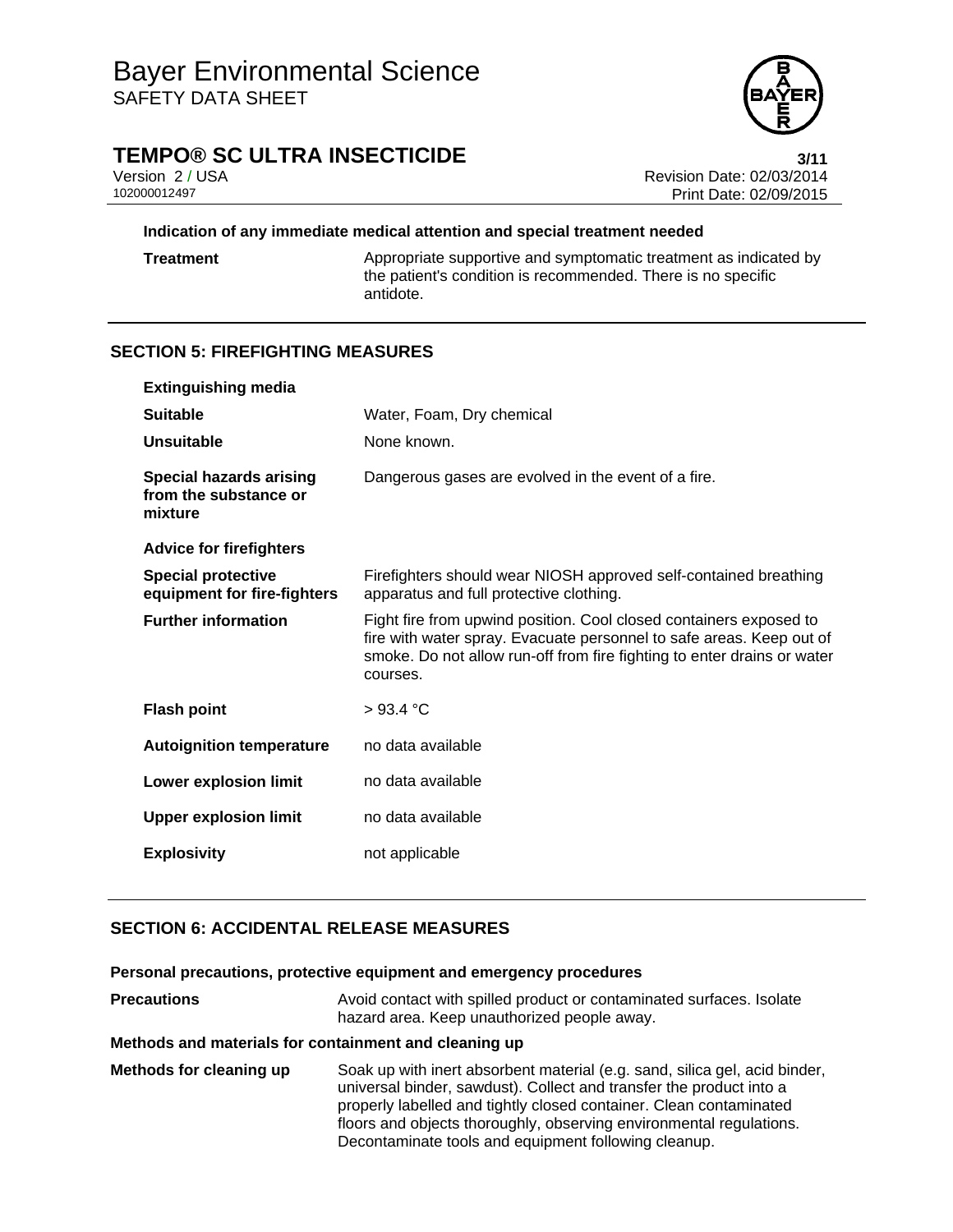

# **TEMPO® SC ULTRA INSECTICIDE** 3/11

Version 2 / USA Revision Date: 02/03/2014 Print Date: 02/09/2015

# **Indication of any immediate medical attention and special treatment needed**

**Treatment** Appropriate supportive and symptomatic treatment as indicated by the patient's condition is recommended. There is no specific antidote.

# **SECTION 5: FIREFIGHTING MEASURES**

| <b>Extinguishing media</b>                                         |                                                                                                                                                                                                                                   |  |
|--------------------------------------------------------------------|-----------------------------------------------------------------------------------------------------------------------------------------------------------------------------------------------------------------------------------|--|
| <b>Suitable</b>                                                    | Water, Foam, Dry chemical                                                                                                                                                                                                         |  |
| <b>Unsuitable</b>                                                  | None known.                                                                                                                                                                                                                       |  |
| <b>Special hazards arising</b><br>from the substance or<br>mixture | Dangerous gases are evolved in the event of a fire.                                                                                                                                                                               |  |
| <b>Advice for firefighters</b>                                     |                                                                                                                                                                                                                                   |  |
| <b>Special protective</b><br>equipment for fire-fighters           | Firefighters should wear NIOSH approved self-contained breathing<br>apparatus and full protective clothing.                                                                                                                       |  |
| <b>Further information</b>                                         | Fight fire from upwind position. Cool closed containers exposed to<br>fire with water spray. Evacuate personnel to safe areas. Keep out of<br>smoke. Do not allow run-off from fire fighting to enter drains or water<br>courses. |  |
| <b>Flash point</b>                                                 | >93.4 °C                                                                                                                                                                                                                          |  |
| <b>Autoignition temperature</b>                                    | no data available                                                                                                                                                                                                                 |  |
| <b>Lower explosion limit</b>                                       | no data available                                                                                                                                                                                                                 |  |
| <b>Upper explosion limit</b>                                       | no data available                                                                                                                                                                                                                 |  |
| <b>Explosivity</b>                                                 | not applicable                                                                                                                                                                                                                    |  |

# **SECTION 6: ACCIDENTAL RELEASE MEASURES**

### **Personal precautions, protective equipment and emergency procedures**

| Precautions                                           | Avoid contact with spilled product or contaminated surfaces. Isolate<br>hazard area. Keep unauthorized people away. |
|-------------------------------------------------------|---------------------------------------------------------------------------------------------------------------------|
| Methods and materials for containment and cleaning up |                                                                                                                     |
| Methods for cleaning up                               | Soak up with inert absorbent material (e.g. sand, silica gel, acid binder,                                          |

universal binder, sawdust). Collect and transfer the product into a properly labelled and tightly closed container. Clean contaminated floors and objects thoroughly, observing environmental regulations. Decontaminate tools and equipment following cleanup.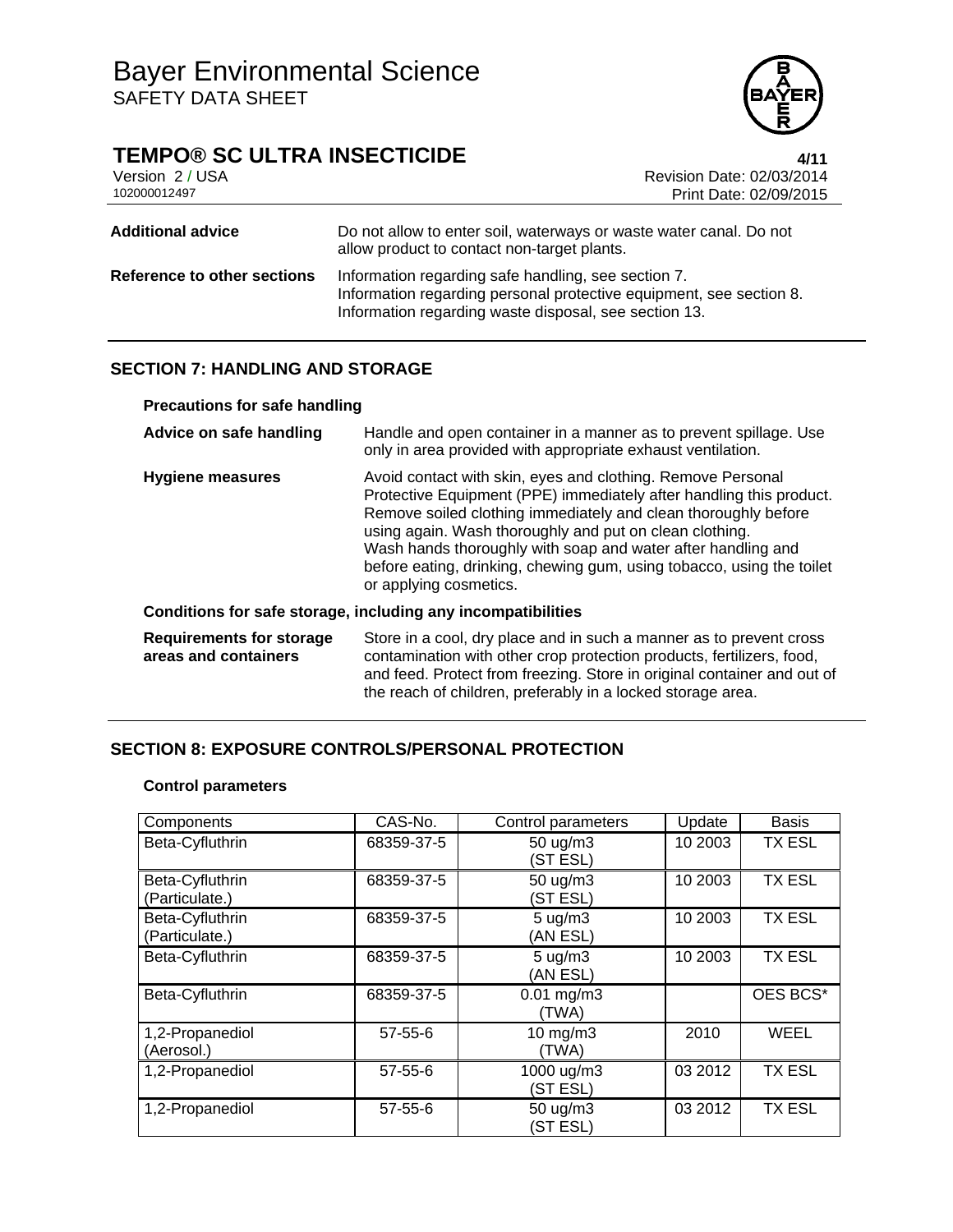# **TEMPO® SC ULTRA INSECTICIDE**<br>Version 2/USA **1/11**<br>Revision Date: 02/03/2014

Version 2 / USA **Version 2 / USA Revision Date: 02/03/2014**<br>102000012497 **Print Date: 02/09/2015** Print Date: 02/09/2015

| <b>Additional advice</b>    | Do not allow to enter soil, waterways or waste water canal. Do not<br>allow product to contact non-target plants.                                                                   |
|-----------------------------|-------------------------------------------------------------------------------------------------------------------------------------------------------------------------------------|
| Reference to other sections | Information regarding safe handling, see section 7.<br>Information regarding personal protective equipment, see section 8.<br>Information regarding waste disposal, see section 13. |

# **SECTION 7: HANDLING AND STORAGE**

# **Precautions for safe handling**

| Advice on safe handling                                 | Handle and open container in a manner as to prevent spillage. Use<br>only in area provided with appropriate exhaust ventilation.                                                                                                                                                                                                                                                                                                   |  |
|---------------------------------------------------------|------------------------------------------------------------------------------------------------------------------------------------------------------------------------------------------------------------------------------------------------------------------------------------------------------------------------------------------------------------------------------------------------------------------------------------|--|
| <b>Hygiene measures</b>                                 | Avoid contact with skin, eyes and clothing. Remove Personal<br>Protective Equipment (PPE) immediately after handling this product.<br>Remove soiled clothing immediately and clean thoroughly before<br>using again. Wash thoroughly and put on clean clothing.<br>Wash hands thoroughly with soap and water after handling and<br>before eating, drinking, chewing gum, using tobacco, using the toilet<br>or applying cosmetics. |  |
|                                                         | Conditions for safe storage, including any incompatibilities                                                                                                                                                                                                                                                                                                                                                                       |  |
| <b>Requirements for storage</b><br>areas and containers | Store in a cool, dry place and in such a manner as to prevent cross<br>contamination with other crop protection products, fertilizers, food,<br>and feed. Protect from freezing. Store in original container and out of<br>the reach of children, preferably in a locked storage area.                                                                                                                                             |  |

# **SECTION 8: EXPOSURE CONTROLS/PERSONAL PROTECTION**

# **Control parameters**

| Components                        | CAS-No.       | Control parameters             | Update  | <b>Basis</b>  |
|-----------------------------------|---------------|--------------------------------|---------|---------------|
| Beta-Cyfluthrin                   | 68359-37-5    | 50 ug/m3<br>(ST ESL)           | 10 2003 | <b>TX ESL</b> |
| Beta-Cyfluthrin<br>(Particulate.) | 68359-37-5    | 50 ug/m3<br>(ST ESL)           | 10 2003 | <b>TX ESL</b> |
| Beta-Cyfluthrin<br>(Particulate.) | 68359-37-5    | $5 \text{ uq/m}$ 3<br>(AN ESL) | 10 2003 | <b>TX ESL</b> |
| Beta-Cyfluthrin                   | 68359-37-5    | $5 \text{ ug/m}$ 3<br>(AN ESL) | 10 2003 | <b>TX ESL</b> |
| Beta-Cyfluthrin                   | 68359-37-5    | $0.01$ mg/m $3$<br>(TWA)       |         | OES BCS*      |
| 1,2-Propanediol<br>(Aerosol.)     | $57 - 55 - 6$ | $10$ mg/m $3$<br>(TWA)         | 2010    | <b>WEEL</b>   |
| 1,2-Propanediol                   | $57 - 55 - 6$ | 1000 ug/m3<br>(ST ESL)         | 03 2012 | <b>TX ESL</b> |
| 1,2-Propanediol                   | $57 - 55 - 6$ | 50 ug/m3<br>(ST ESL)           | 03 2012 | <b>TX ESL</b> |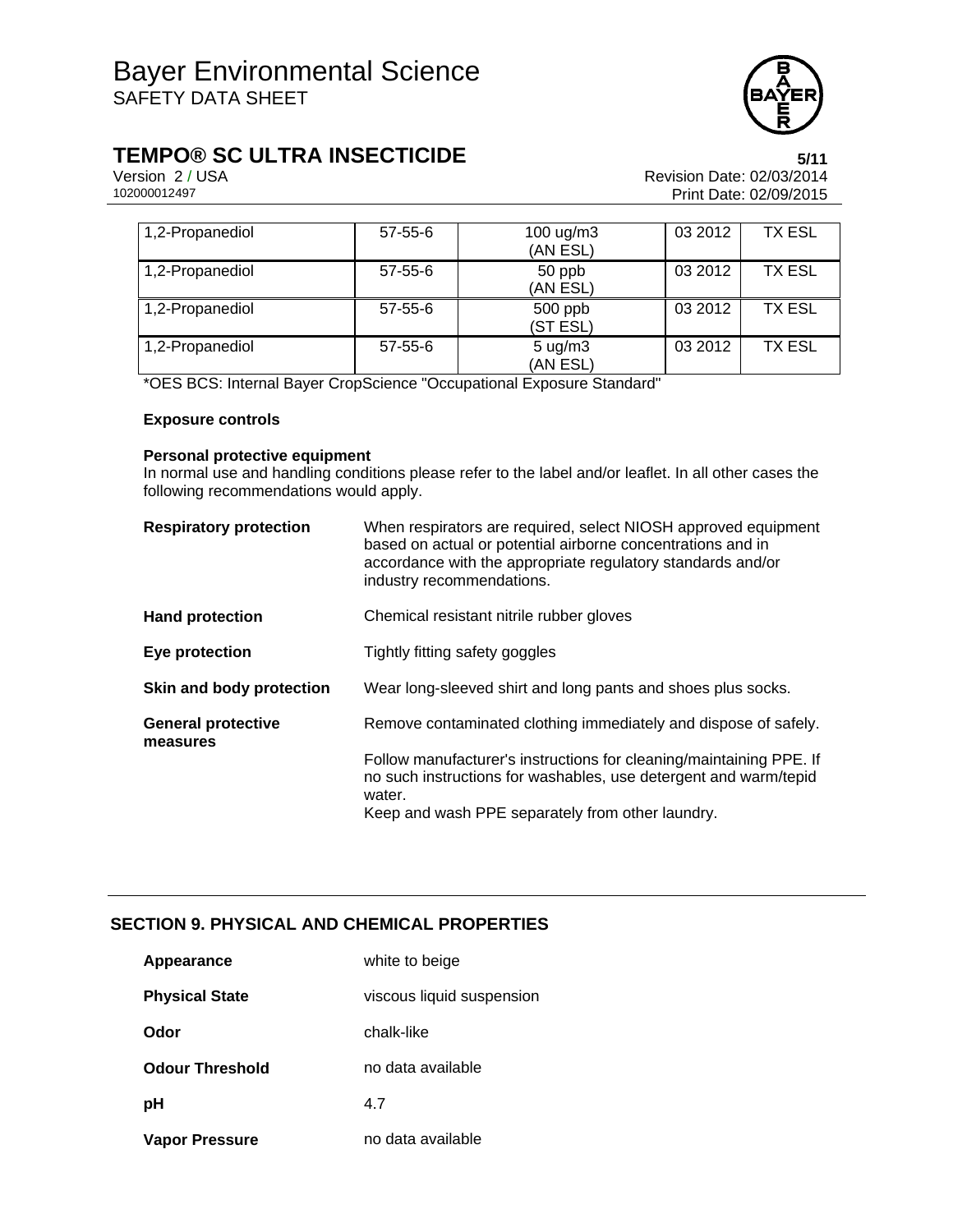

# **TEMPO® SC ULTRA INSECTICIDE**<br>Version 2/USA<br>Revision Date: 02/03/2014

Version 2 / USA **Version 2 / USA Revision Date: 02/03/2014**<br>102000012497 **Print Date: 02/09/2015** Print Date: 02/09/2015

| 1,2-Propanediol | $57 - 55 - 6$ | 100 $\mu$ g/m3                 | 03 2012 | TX ESL        |
|-----------------|---------------|--------------------------------|---------|---------------|
|                 |               | (AN ESL)                       |         |               |
| 1,2-Propanediol | $57 - 55 - 6$ | 50 ppb                         | 03 2012 | TX ESL        |
|                 |               | (AN ESL)                       |         |               |
| 1,2-Propanediol | $57 - 55 - 6$ | $500$ ppb<br>(ST ESL)          | 03 2012 | <b>TX ESL</b> |
| 1,2-Propanediol | $57 - 55 - 6$ | $5 \text{ ug/m}$ 3<br>(AN ESL) | 03 2012 | <b>TX ESL</b> |

\*OES BCS: Internal Bayer CropScience "Occupational Exposure Standard"

# **Exposure controls**

# **Personal protective equipment**

In normal use and handling conditions please refer to the label and/or leaflet. In all other cases the following recommendations would apply.

| <b>Respiratory protection</b>         | When respirators are required, select NIOSH approved equipment<br>based on actual or potential airborne concentrations and in<br>accordance with the appropriate regulatory standards and/or<br>industry recommendations. |  |
|---------------------------------------|---------------------------------------------------------------------------------------------------------------------------------------------------------------------------------------------------------------------------|--|
| <b>Hand protection</b>                | Chemical resistant nitrile rubber gloves                                                                                                                                                                                  |  |
| Eye protection                        | Tightly fitting safety goggles                                                                                                                                                                                            |  |
| Skin and body protection              | Wear long-sleeved shirt and long pants and shoes plus socks.                                                                                                                                                              |  |
| <b>General protective</b><br>measures | Remove contaminated clothing immediately and dispose of safely.                                                                                                                                                           |  |
|                                       | Follow manufacturer's instructions for cleaning/maintaining PPE. If<br>no such instructions for washables, use detergent and warm/tepid<br>water.                                                                         |  |
|                                       | Keep and wash PPE separately from other laundry.                                                                                                                                                                          |  |

# **SECTION 9. PHYSICAL AND CHEMICAL PROPERTIES**

| Appearance             | white to beige            |
|------------------------|---------------------------|
| <b>Physical State</b>  | viscous liquid suspension |
| Odor                   | chalk-like                |
| <b>Odour Threshold</b> | no data available         |
| рH                     | 4.7                       |
| Vapor Pressure         | no data available         |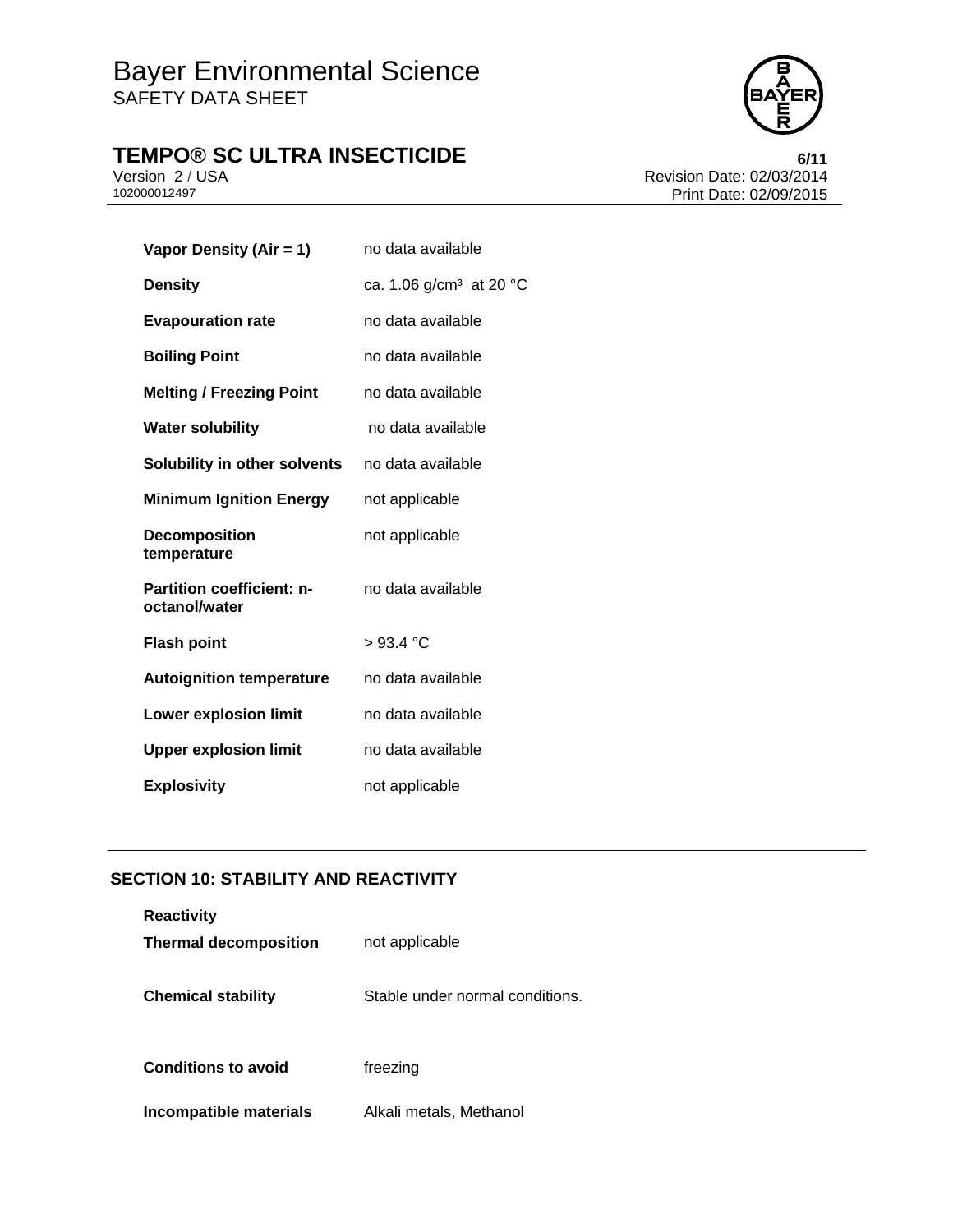# **TEMPO® SC ULTRA INSECTICIDE**<br>Version 2/USA<br>Revision Date: 02/03/2014



Version 2 / USA **Version 2 / USA Revision Date: 02/03/2014**<br>102000012497 **Print Date: 02/09/2015** Print Date: 02/09/2015

| Vapor Density (Air = 1)                           | no data available                   |
|---------------------------------------------------|-------------------------------------|
| <b>Density</b>                                    | ca. 1.06 g/cm <sup>3</sup> at 20 °C |
| <b>Evapouration rate</b>                          | no data available                   |
| <b>Boiling Point</b>                              | no data available                   |
| <b>Melting / Freezing Point</b>                   | no data available                   |
| <b>Water solubility</b>                           | no data available                   |
| Solubility in other solvents                      | no data available                   |
| <b>Minimum Ignition Energy</b>                    | not applicable                      |
| <b>Decomposition</b><br>temperature               | not applicable                      |
| <b>Partition coefficient: n-</b><br>octanol/water | no data available                   |
| <b>Flash point</b>                                | >93.4 °C                            |
| <b>Autoignition temperature</b>                   | no data available                   |
| <b>Lower explosion limit</b>                      | no data available                   |
| <b>Upper explosion limit</b>                      | no data available                   |
| <b>Explosivity</b>                                | not applicable                      |

# **SECTION 10: STABILITY AND REACTIVITY**

| <b>Reactivity</b><br><b>Thermal decomposition</b> | not applicable                  |
|---------------------------------------------------|---------------------------------|
| <b>Chemical stability</b>                         | Stable under normal conditions. |
| <b>Conditions to avoid</b>                        | freezing                        |
| Incompatible materials                            | Alkali metals, Methanol         |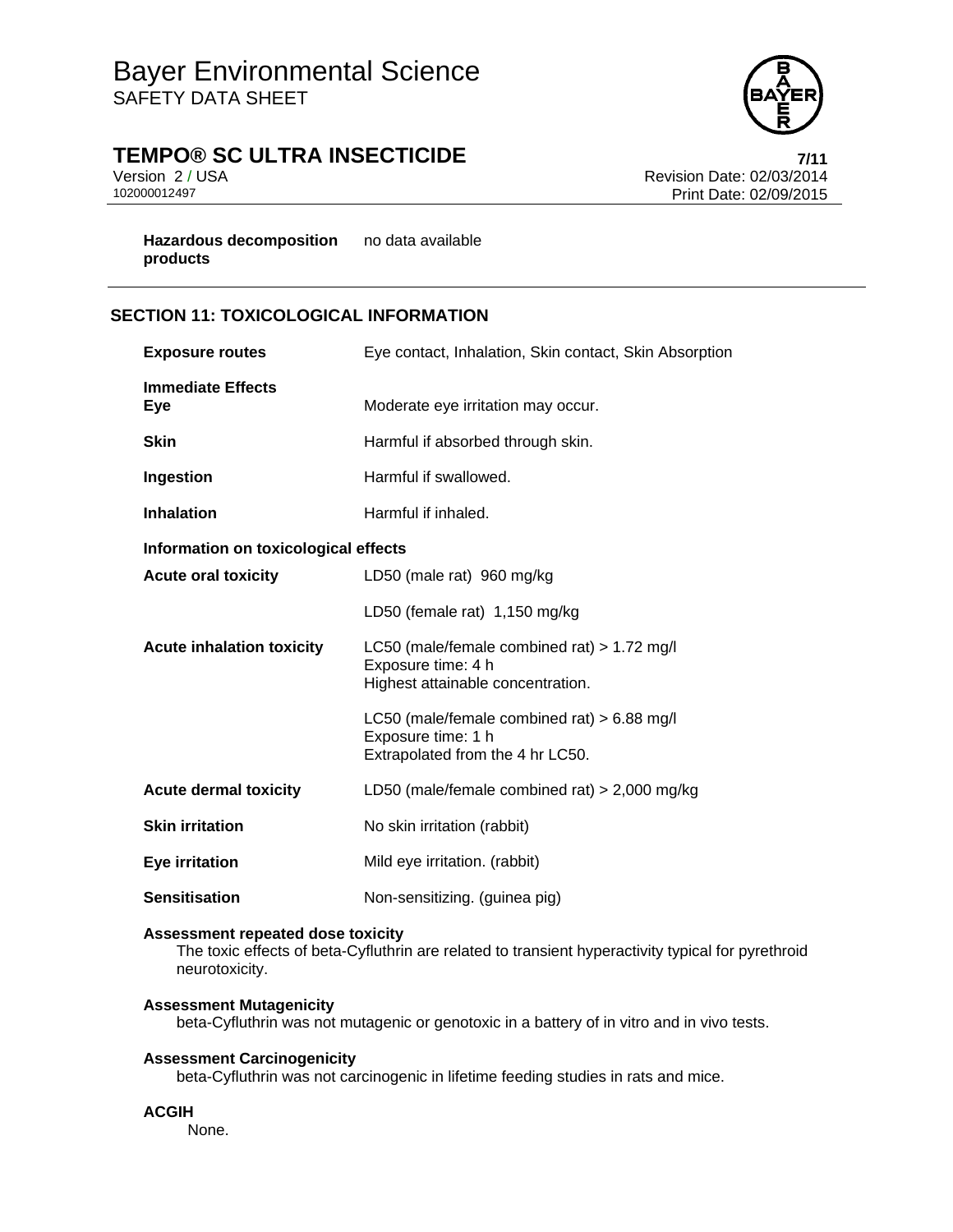

# **TEMPO® SC ULTRA INSECTICIDE** *7/11***</sup>**

Version 2 / USA **Version 2 / USA Revision Date: 02/03/2014**<br>102000012497 **Print Date: 02/09/2015** Print Date: 02/09/2015

**Hazardous decomposition**  no data available **products**

# **SECTION 11: TOXICOLOGICAL INFORMATION**

| <b>Exposure routes</b>               | Eye contact, Inhalation, Skin contact, Skin Absorption                                                   |  |  |
|--------------------------------------|----------------------------------------------------------------------------------------------------------|--|--|
| <b>Immediate Effects</b><br>Eye      | Moderate eye irritation may occur.                                                                       |  |  |
| <b>Skin</b>                          | Harmful if absorbed through skin.                                                                        |  |  |
| Ingestion                            | Harmful if swallowed.                                                                                    |  |  |
| <b>Inhalation</b>                    | Harmful if inhaled.                                                                                      |  |  |
| Information on toxicological effects |                                                                                                          |  |  |
| <b>Acute oral toxicity</b>           | LD50 (male rat) 960 mg/kg                                                                                |  |  |
|                                      | LD50 (female rat) 1,150 mg/kg                                                                            |  |  |
| <b>Acute inhalation toxicity</b>     | LC50 (male/female combined rat) $> 1.72$ mg/l<br>Exposure time: 4 h<br>Highest attainable concentration. |  |  |
|                                      | LC50 (male/female combined rat) $> 6.88$ mg/l<br>Exposure time: 1 h<br>Extrapolated from the 4 hr LC50.  |  |  |
| <b>Acute dermal toxicity</b>         | LD50 (male/female combined rat) $> 2,000$ mg/kg                                                          |  |  |
| <b>Skin irritation</b>               | No skin irritation (rabbit)                                                                              |  |  |
| Eye irritation                       | Mild eye irritation. (rabbit)                                                                            |  |  |
| <b>Sensitisation</b>                 | Non-sensitizing. (guinea pig)                                                                            |  |  |

# **Assessment repeated dose toxicity**

The toxic effects of beta-Cyfluthrin are related to transient hyperactivity typical for pyrethroid neurotoxicity.

# **Assessment Mutagenicity**

beta-Cyfluthrin was not mutagenic or genotoxic in a battery of in vitro and in vivo tests.

### **Assessment Carcinogenicity**

beta-Cyfluthrin was not carcinogenic in lifetime feeding studies in rats and mice.

#### **ACGIH**

None.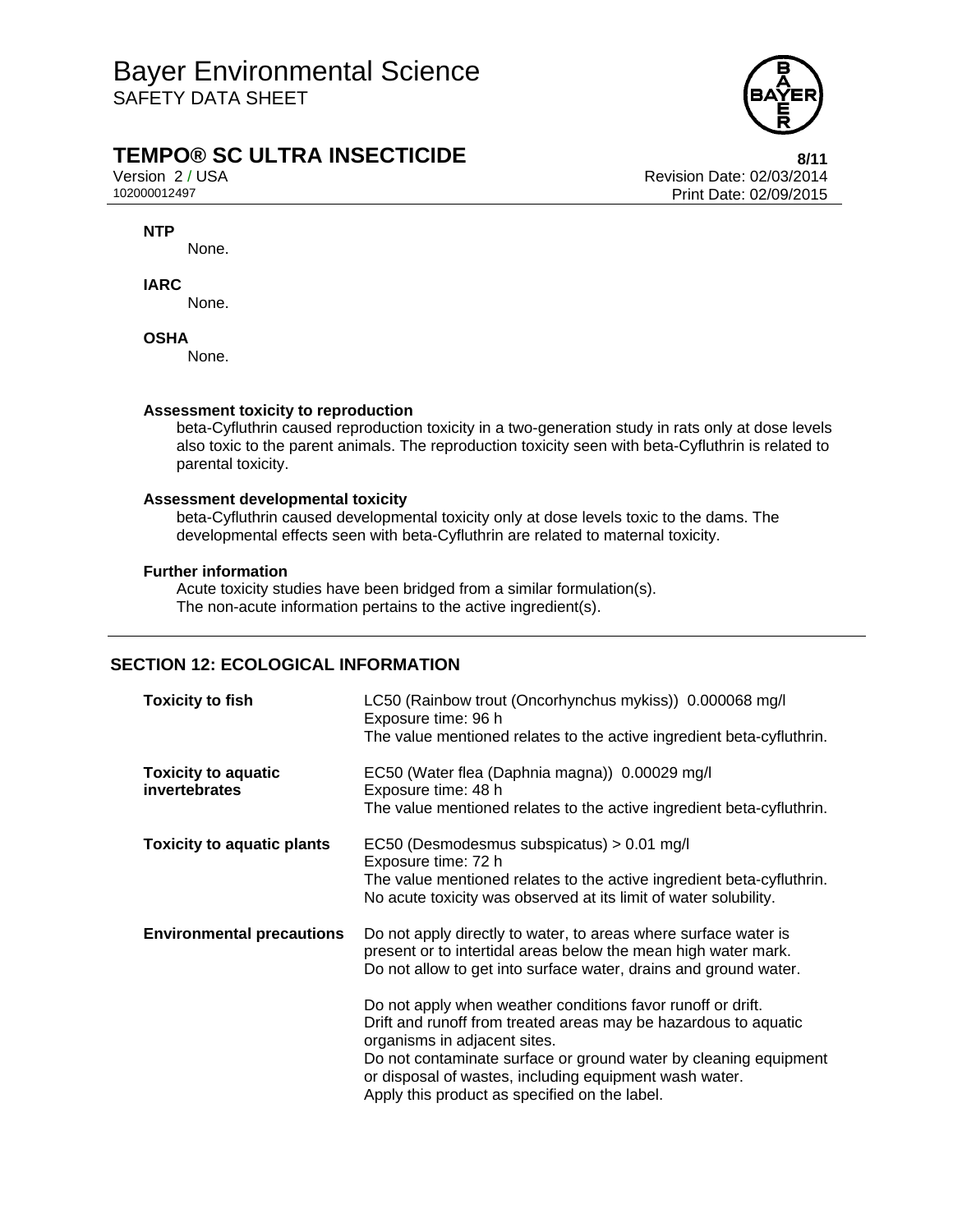

# **TEMPO® SC ULTRA INSECTICIDE 8/11**

Version 2 / USA **Version 2 / USA Revision Date: 02/03/2014**<br>102000012497 **Print Date: 02/09/2015** Print Date: 02/09/2015

# **NTP**

None.

# **IARC**

None.

# **OSHA**

None.

# **Assessment toxicity to reproduction**

beta-Cyfluthrin caused reproduction toxicity in a two-generation study in rats only at dose levels also toxic to the parent animals. The reproduction toxicity seen with beta-Cyfluthrin is related to parental toxicity.

# **Assessment developmental toxicity**

beta-Cyfluthrin caused developmental toxicity only at dose levels toxic to the dams. The developmental effects seen with beta-Cyfluthrin are related to maternal toxicity.

# **Further information**

Acute toxicity studies have been bridged from a similar formulation(s). The non-acute information pertains to the active ingredient(s).

# **SECTION 12: ECOLOGICAL INFORMATION**

| <b>Toxicity to fish</b>                            | LC50 (Rainbow trout (Oncorhynchus mykiss)) 0.000068 mg/l<br>Exposure time: 96 h<br>The value mentioned relates to the active ingredient beta-cyfluthrin.                                                                                                                                                                                                                                                                                                                                                                                               |
|----------------------------------------------------|--------------------------------------------------------------------------------------------------------------------------------------------------------------------------------------------------------------------------------------------------------------------------------------------------------------------------------------------------------------------------------------------------------------------------------------------------------------------------------------------------------------------------------------------------------|
| <b>Toxicity to aquatic</b><br><i>invertebrates</i> | EC50 (Water flea (Daphnia magna)) 0.00029 mg/l<br>Exposure time: 48 h<br>The value mentioned relates to the active ingredient beta-cyfluthrin.                                                                                                                                                                                                                                                                                                                                                                                                         |
| <b>Toxicity to aquatic plants</b>                  | EC50 (Desmodesmus subspicatus) > 0.01 mg/l<br>Exposure time: 72 h<br>The value mentioned relates to the active ingredient beta-cyfluthrin.<br>No acute toxicity was observed at its limit of water solubility.                                                                                                                                                                                                                                                                                                                                         |
| <b>Environmental precautions</b>                   | Do not apply directly to water, to areas where surface water is<br>present or to intertidal areas below the mean high water mark.<br>Do not allow to get into surface water, drains and ground water.<br>Do not apply when weather conditions favor runoff or drift.<br>Drift and runoff from treated areas may be hazardous to aquatic<br>organisms in adjacent sites.<br>Do not contaminate surface or ground water by cleaning equipment<br>or disposal of wastes, including equipment wash water.<br>Apply this product as specified on the label. |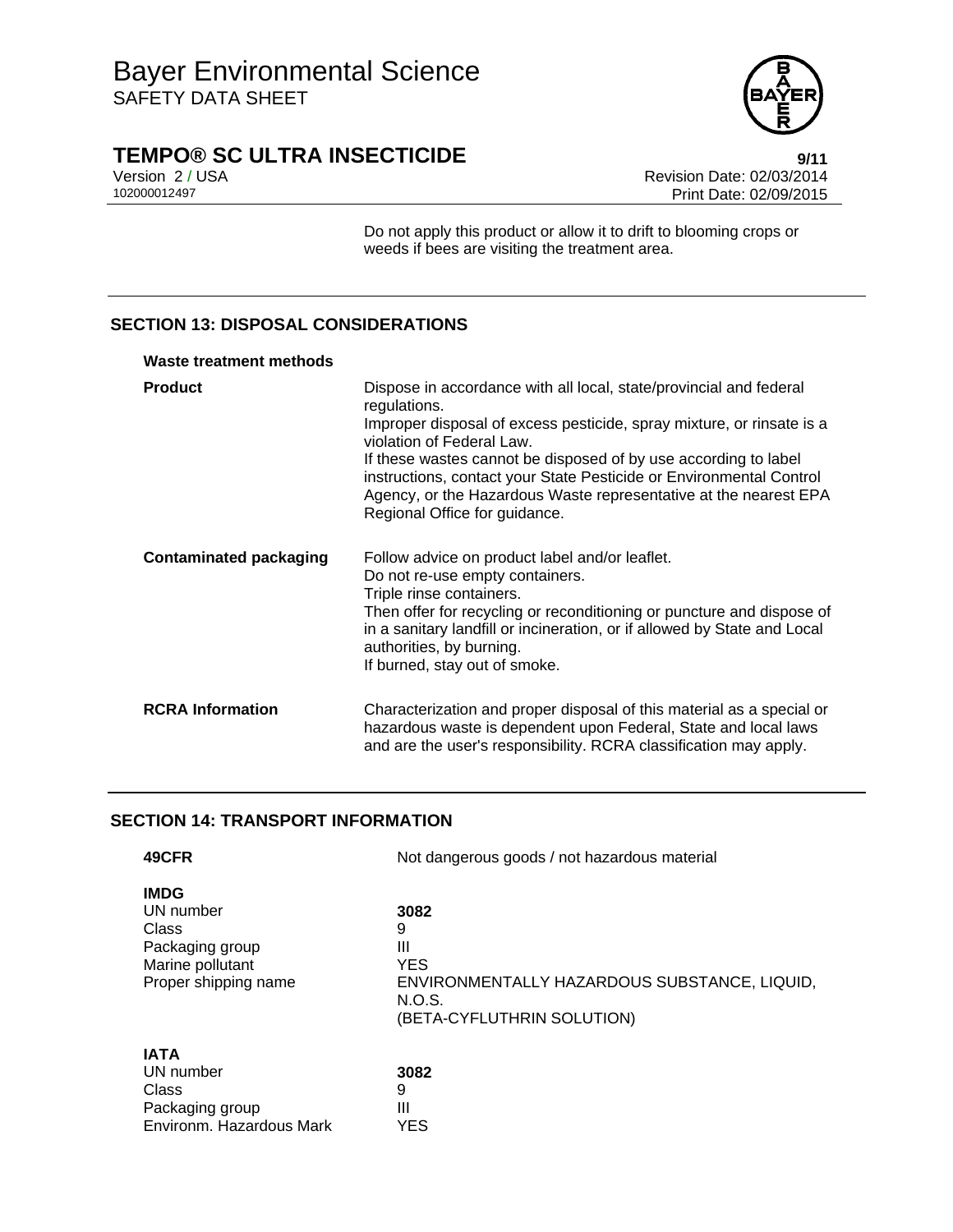

# **TEMPO® SC ULTRA INSECTICIDE**<br>Version 2/USA<br>Revision Date: 02/03/2014

Version 2 / USA **Version 2 / USA Revision Date: 02/03/2014**<br>102000012497 **Print Date: 02/09/2015** Print Date: 02/09/2015

> Do not apply this product or allow it to drift to blooming crops or weeds if bees are visiting the treatment area.

# **SECTION 13: DISPOSAL CONSIDERATIONS**

#### **Waste treatment methods**

| <b>Product</b>                | Dispose in accordance with all local, state/provincial and federal<br>regulations.<br>Improper disposal of excess pesticide, spray mixture, or rinsate is a<br>violation of Federal Law.<br>If these wastes cannot be disposed of by use according to label<br>instructions, contact your State Pesticide or Environmental Control<br>Agency, or the Hazardous Waste representative at the nearest EPA<br>Regional Office for guidance. |
|-------------------------------|-----------------------------------------------------------------------------------------------------------------------------------------------------------------------------------------------------------------------------------------------------------------------------------------------------------------------------------------------------------------------------------------------------------------------------------------|
| <b>Contaminated packaging</b> | Follow advice on product label and/or leaflet.<br>Do not re-use empty containers.<br>Triple rinse containers.<br>Then offer for recycling or reconditioning or puncture and dispose of<br>in a sanitary landfill or incineration, or if allowed by State and Local<br>authorities, by burning.<br>If burned, stay out of smoke.                                                                                                         |
| <b>RCRA Information</b>       | Characterization and proper disposal of this material as a special or<br>hazardous waste is dependent upon Federal, State and local laws<br>and are the user's responsibility. RCRA classification may apply.                                                                                                                                                                                                                           |

# **SECTION 14: TRANSPORT INFORMATION**

| 49CFR                                                                                            | Not dangerous goods / not hazardous material                                                                         |
|--------------------------------------------------------------------------------------------------|----------------------------------------------------------------------------------------------------------------------|
| <b>IMDG</b><br>UN number<br>Class<br>Packaging group<br>Marine pollutant<br>Proper shipping name | 3082<br>9<br>Ш<br><b>YES</b><br>ENVIRONMENTALLY HAZARDOUS SUBSTANCE, LIQUID,<br>N.O.S.<br>(BETA-CYFLUTHRIN SOLUTION) |
| <b>IATA</b><br>UN number<br>Class<br>Packaging group<br>Environm, Hazardous Mark                 | 3082<br>9<br>Ш<br><b>YES</b>                                                                                         |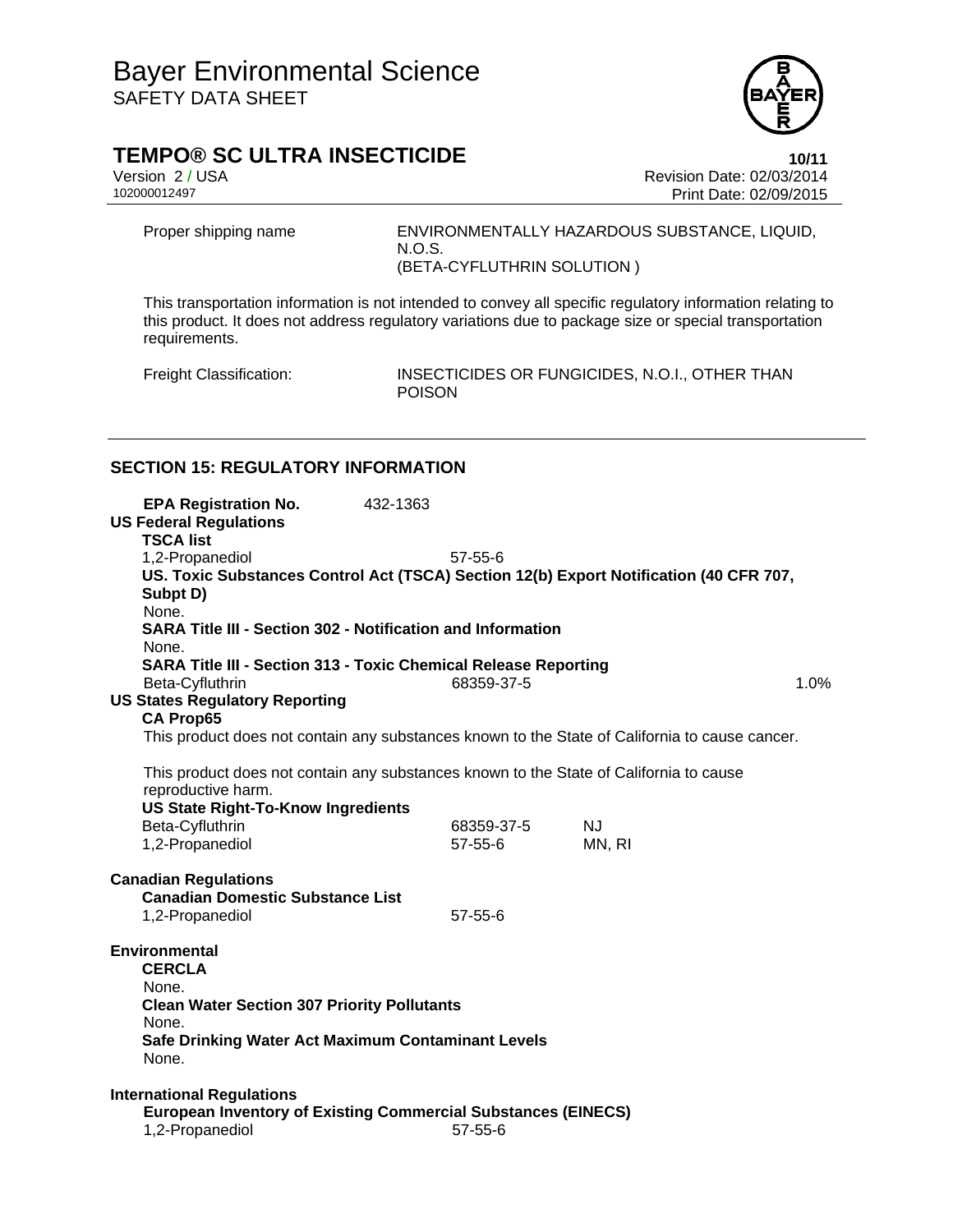

# **TEMPO® SC ULTRA INSECTICIDE**<br>Version 2/USA **10/11**<br>Revision Date: 02/03/2014

Version 2 / USA <br>102000012497<br>Print Date: 02/09/2015 Print Date: 02/09/2015

Proper shipping name ENVIRONMENTALLY HAZARDOUS SUBSTANCE, LIQUID, N.O.S. (BETA-CYFLUTHRIN SOLUTION )

This transportation information is not intended to convey all specific regulatory information relating to this product. It does not address regulatory variations due to package size or special transportation requirements.

Freight Classification: INSECTICIDES OR FUNGICIDES, N.O.I., OTHER THAN POISON

# **SECTION 15: REGULATORY INFORMATION**

| <b>EPA Registration No.</b>                                                                    | 432-1363 |               |           |      |
|------------------------------------------------------------------------------------------------|----------|---------------|-----------|------|
| <b>US Federal Regulations</b><br><b>TSCA list</b>                                              |          |               |           |      |
| 1,2-Propanediol                                                                                |          | $57 - 55 - 6$ |           |      |
| US. Toxic Substances Control Act (TSCA) Section 12(b) Export Notification (40 CFR 707,         |          |               |           |      |
| Subpt D)                                                                                       |          |               |           |      |
| None.                                                                                          |          |               |           |      |
| <b>SARA Title III - Section 302 - Notification and Information</b>                             |          |               |           |      |
| None.                                                                                          |          |               |           |      |
| <b>SARA Title III - Section 313 - Toxic Chemical Release Reporting</b>                         |          |               |           |      |
| Beta-Cyfluthrin<br><b>US States Regulatory Reporting</b>                                       |          | 68359-37-5    |           | 1.0% |
| <b>CA Prop65</b>                                                                               |          |               |           |      |
| This product does not contain any substances known to the State of California to cause cancer. |          |               |           |      |
|                                                                                                |          |               |           |      |
| This product does not contain any substances known to the State of California to cause         |          |               |           |      |
| reproductive harm.                                                                             |          |               |           |      |
| <b>US State Right-To-Know Ingredients</b>                                                      |          |               |           |      |
| Beta-Cyfluthrin                                                                                |          | 68359-37-5    | <b>NJ</b> |      |
| 1,2-Propanediol                                                                                |          | $57 - 55 - 6$ | MN, RI    |      |
| <b>Canadian Regulations</b>                                                                    |          |               |           |      |
| <b>Canadian Domestic Substance List</b>                                                        |          |               |           |      |
| 1,2-Propanediol                                                                                |          | $57 - 55 - 6$ |           |      |
|                                                                                                |          |               |           |      |
| <b>Environmental</b>                                                                           |          |               |           |      |
| <b>CERCLA</b>                                                                                  |          |               |           |      |
| None.                                                                                          |          |               |           |      |
| <b>Clean Water Section 307 Priority Pollutants</b>                                             |          |               |           |      |
| None.                                                                                          |          |               |           |      |
| Safe Drinking Water Act Maximum Contaminant Levels<br>None.                                    |          |               |           |      |
| <b>International Regulations</b>                                                               |          |               |           |      |
| <b>European Inventory of Existing Commercial Substances (EINECS)</b>                           |          |               |           |      |
| 1,2-Propanediol                                                                                |          | 57-55-6       |           |      |
|                                                                                                |          |               |           |      |